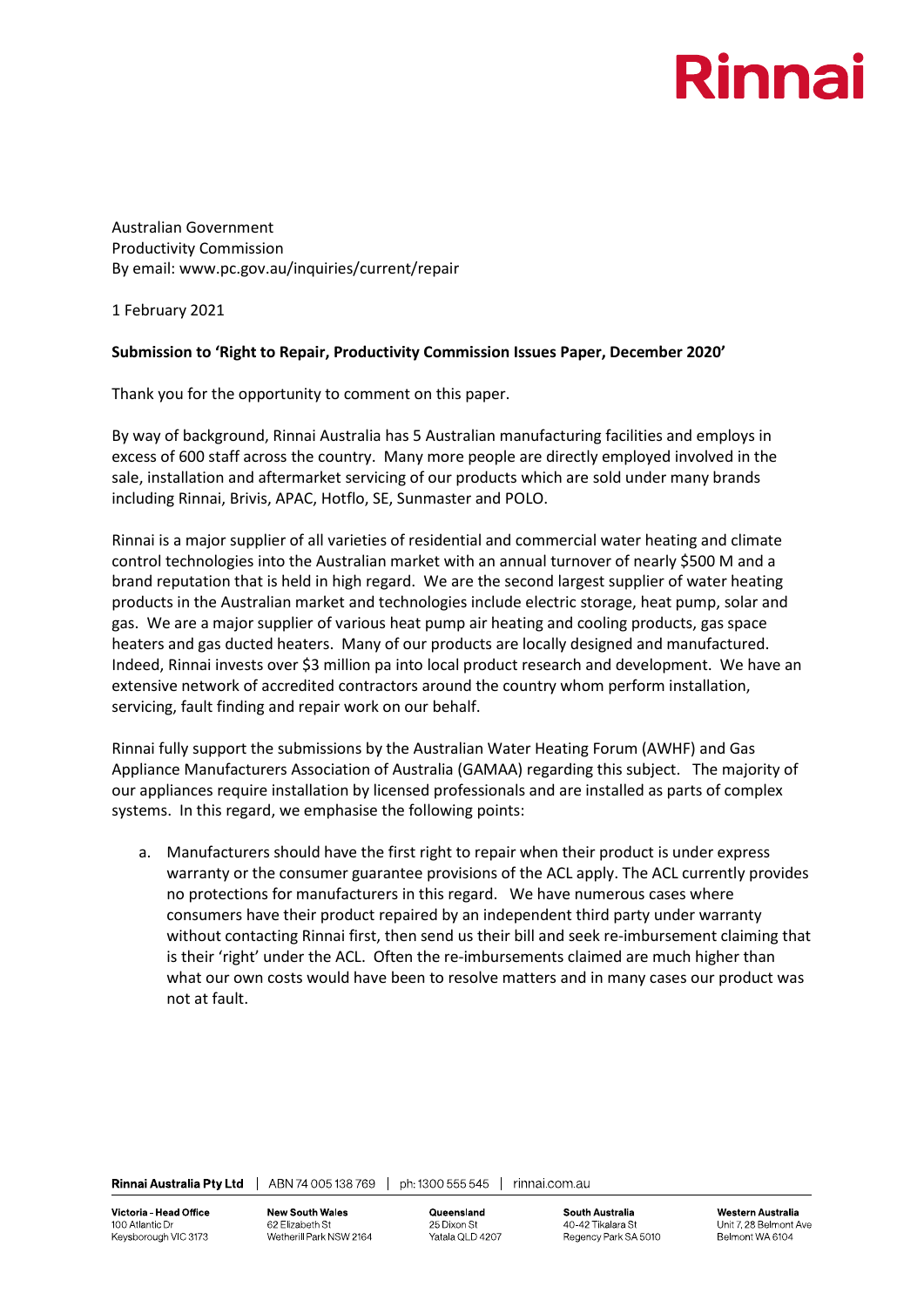## Rinna

Australian Government Productivity Commission By email: www.pc.gov.au/inquiries/current/repair

1 February 2021

## **Submission to 'Right to Repair, Productivity Commission Issues Paper, December 2020'**

Thank you for the opportunity to comment on this paper.

By way of background, Rinnai Australia has 5 Australian manufacturing facilities and employs in excess of 600 staff across the country. Many more people are directly employed involved in the sale, installation and aftermarket servicing of our products which are sold under many brands including Rinnai, Brivis, APAC, Hotflo, SE, Sunmaster and POLO.

Rinnai is a major supplier of all varieties of residential and commercial water heating and climate control technologies into the Australian market with an annual turnover of nearly \$500 M and a brand reputation that is held in high regard. We are the second largest supplier of water heating products in the Australian market and technologies include electric storage, heat pump, solar and gas. We are a major supplier of various heat pump air heating and cooling products, gas space heaters and gas ducted heaters. Many of our products are locally designed and manufactured. Indeed, Rinnai invests over \$3 million pa into local product research and development. We have an extensive network of accredited contractors around the country whom perform installation, servicing, fault finding and repair work on our behalf.

Rinnai fully support the submissions by the Australian Water Heating Forum (AWHF) and Gas Appliance Manufacturers Association of Australia (GAMAA) regarding this subject. The majority of our appliances require installation by licensed professionals and are installed as parts of complex systems. In this regard, we emphasise the following points:

a. Manufacturers should have the first right to repair when their product is under express warranty or the consumer guarantee provisions of the ACL apply. The ACL currently provides no protections for manufacturers in this regard. We have numerous cases where consumers have their product repaired by an independent third party under warranty without contacting Rinnai first, then send us their bill and seek re-imbursement claiming that is their 'right' under the ACL. Often the re-imbursements claimed are much higher than what our own costs would have been to resolve matters and in many cases our product was not at fault.

**New South Wales** 62 Elizabeth St Wetherill Park NSW 2164 Queensland 25 Dixon St Yatala QLD 4207

**South Australia** 40-42 Tikalara St Regency Park SA 5010

**Western Australia** Unit 7, 28 Belmont Ave Belmont WA 6104